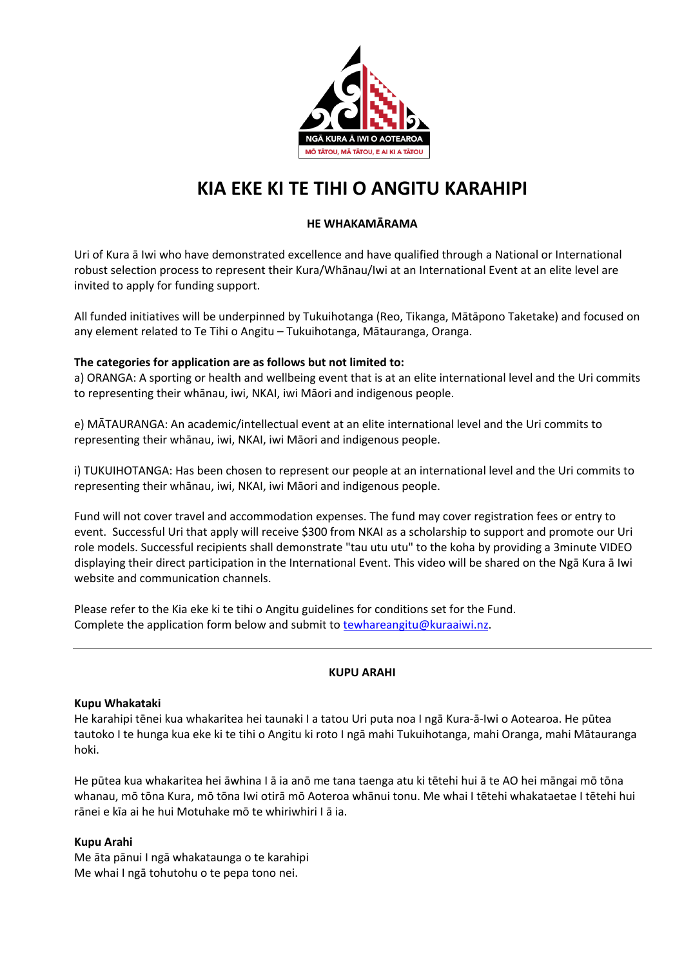

# **KIA EKE KI TE TIHI O ANGITU KARAHIPI**

## **HE WHAKAMĀRAMA**

Uri of Kura ā Iwi who have demonstrated excellence and have qualified through a National or International robust selection process to represent their Kura/Whānau/Iwi at an International Event at an elite level are invited to apply for funding support.

All funded initiatives will be underpinned by Tukuihotanga (Reo, Tikanga, Mātāpono Taketake) and focused on any element related to Te Tihi o Angitu – Tukuihotanga, Mātauranga, Oranga.

## **The categories for application are as follows but not limited to:**

a) ORANGA: A sporting or health and wellbeing event that is at an elite international level and the Uri commits to representing their whānau, iwi, NKAI, iwi Māori and indigenous people.

e) MĀTAURANGA: An academic/intellectual event at an elite international level and the Uri commits to representing their whānau, iwi, NKAI, iwi Māori and indigenous people.

i) TUKUIHOTANGA: Has been chosen to represent our people at an international level and the Uri commits to representing their whānau, iwi, NKAI, iwi Māori and indigenous people.

Fund will not cover travel and accommodation expenses. The fund may cover registration fees or entry to event. Successful Uri that apply will receive \$300 from NKAI as a scholarship to support and promote our Uri role models. Successful recipients shall demonstrate "tau utu utu" to the koha by providing a 3minute VIDEO displaying their direct participation in the International Event. This video will be shared on the Ngā Kura ā Iwi website and communication channels.

Please refer to the Kia eke ki te tihi o Angitu guidelines for conditions set for the Fund. Complete the application form below and submit to tewhareangitu@kuraaiwi.nz.

# **KUPU ARAHI**

#### **Kupu Whakataki**

He karahipi tēnei kua whakaritea hei taunaki I a tatou Uri puta noa I ngā Kura-ā-Iwi o Aotearoa. He pūtea tautoko I te hunga kua eke ki te tihi o Angitu ki roto I ngā mahi Tukuihotanga, mahi Oranga, mahi Mātauranga hoki.

He pūtea kua whakaritea hei āwhina I ā ia anō me tana taenga atu ki tētehi hui ā te AO hei māngai mō tōna whanau, mō tōna Kura, mō tōna Iwi otirā mō Aoteroa whānui tonu. Me whai I tētehi whakataetae I tētehi hui rānei e kīa ai he hui Motuhake mō te whiriwhiri I ā ia.

#### **Kupu Arahi**

Me āta pānui I ngā whakataunga o te karahipi Me whai I ngā tohutohu o te pepa tono nei.